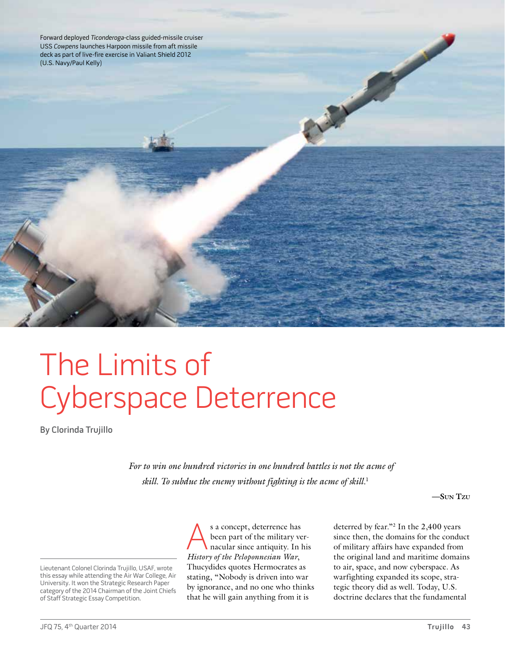Forward deployed Ticonderoga-class guided-missile cruiser USS Cowpens launches Harpoon missile from aft missile deck as part of live-fire exercise in Valiant Shield 2012 (U.S. Navy/Paul Kelly)

The Limits of Cyberspace Deterrence

By Clorinda Trujillo

*For to win one hundred victories in one hundred battles is not the acme of skill. To subdue the enemy without fighting is the acme of skill.*<sup>1</sup>

**—Sun Tzu**

Lieutenant Colonel Clorinda Trujillo, USAF, wrote this essay while attending the Air War College, Air University. It won the Strategic Research Paper category of the 2014 Chairman of the Joint Chiefs of Staff Strategic Essay Competition.

s a concept, deterrence has<br>been part of the military ve<br>nacular since antiquity. In l been part of the military vernacular since antiquity. In his *History of the Peloponnesian War*, Thucydides quotes Hermocrates as stating, "Nobody is driven into war by ignorance, and no one who thinks that he will gain anything from it is

deterred by fear."2 In the 2,400 years since then, the domains for the conduct of military affairs have expanded from the original land and maritime domains to air, space, and now cyberspace. As warfighting expanded its scope, strategic theory did as well. Today, U.S. doctrine declares that the fundamental

**PASSED**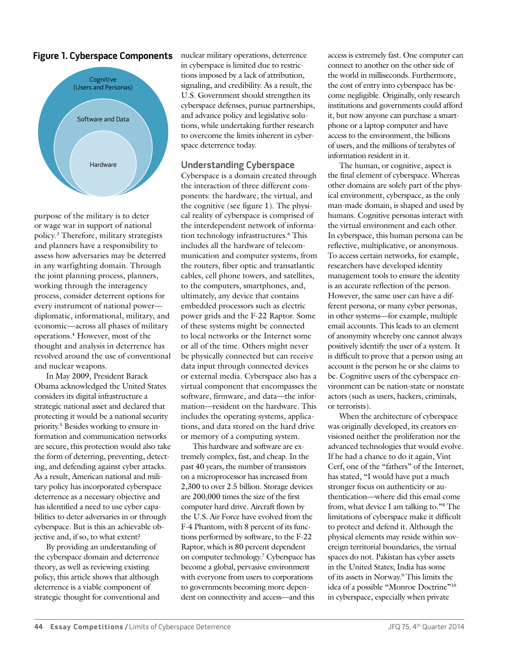# **Figure 1. Cyberspace Components**



purpose of the military is to deter or wage war in support of national policy.3 Therefore, military strategists and planners have a responsibility to assess how adversaries may be deterred in any warfighting domain. Through the joint planning process, planners, working through the interagency process, consider deterrent options for every instrument of national power diplomatic, informational, military, and economic—across all phases of military operations.4 However, most of the thought and analysis in deterrence has revolved around the use of conventional and nuclear weapons.

In May 2009, President Barack Obama acknowledged the United States considers its digital infrastructure a strategic national asset and declared that protecting it would be a national security priority.5 Besides working to ensure information and communication networks are secure, this protection would also take the form of deterring, preventing, detecting, and defending against cyber attacks. As a result, American national and military policy has incorporated cyberspace deterrence as a necessary objective and has identified a need to use cyber capabilities to deter adversaries in or through cyberspace. But is this an achievable objective and, if so, to what extent?

By providing an understanding of the cyberspace domain and deterrence theory, as well as reviewing existing policy, this article shows that although deterrence is a viable component of strategic thought for conventional and nuclear military operations, deterrence in cyberspace is limited due to restrictions imposed by a lack of attribution, signaling, and credibility. As a result, the U.S. Government should strengthen its cyberspace defenses, pursue partnerships, and advance policy and legislative solutions, while undertaking further research to overcome the limits inherent in cyberspace deterrence today.

## **Understanding Cyberspace**

Cyberspace is a domain created through the interaction of three different components: the hardware, the virtual, and the cognitive (see figure 1). The physical reality of cyberspace is comprised of the interdependent network of information technology infrastructures.6 This includes all the hardware of telecommunication and computer systems, from the routers, fiber optic and transatlantic cables, cell phone towers, and satellites, to the computers, smartphones, and, ultimately, any device that contains embedded processors such as electric power grids and the F-22 Raptor. Some of these systems might be connected to local networks or the Internet some or all of the time. Others might never be physically connected but can receive data input through connected devices or external media. Cyberspace also has a virtual component that encompasses the software, firmware, and data—the information—resident on the hardware. This includes the operating systems, applications, and data stored on the hard drive or memory of a computing system.

This hardware and software are extremely complex, fast, and cheap. In the past 40 years, the number of transistors on a microprocessor has increased from 2,300 to over 2.5 billion. Storage devices are 200,000 times the size of the first computer hard drive. Aircraft flown by the U.S. Air Force have evolved from the F-4 Phantom, with 8 percent of its functions performed by software, to the F-22 Raptor, which is 80 percent dependent on computer technology.7 Cyberspace has become a global, pervasive environment with everyone from users to corporations to governments becoming more dependent on connectivity and access—and this

access is extremely fast. One computer can connect to another on the other side of the world in milliseconds. Furthermore, the cost of entry into cyberspace has become negligible. Originally, only research institutions and governments could afford it, but now anyone can purchase a smartphone or a laptop computer and have access to the environment, the billions of users, and the millions of terabytes of information resident in it.

The human, or cognitive, aspect is the final element of cyberspace. Whereas other domains are solely part of the physical environment, cyberspace, as the only man-made domain, is shaped and used by humans. Cognitive personas interact with the virtual environment and each other. In cyberspace, this human persona can be reflective, multiplicative, or anonymous. To access certain networks, for example, researchers have developed identity management tools to ensure the identity is an accurate reflection of the person. However, the same user can have a different persona, or many cyber personas, in other systems—for example, multiple email accounts. This leads to an element of anonymity whereby one cannot always positively identify the user of a system. It is difficult to prove that a person using an account is the person he or she claims to be. Cognitive users of the cyberspace environment can be nation-state or nonstate actors (such as users, hackers, criminals, or terrorists).

When the architecture of cyberspace was originally developed, its creators envisioned neither the proliferation nor the advanced technologies that would evolve. If he had a chance to do it again, Vint Cerf, one of the "fathers" of the Internet, has stated, "I would have put a much stronger focus on authenticity or authentication—where did this email come from, what device I am talking to."8 The limitations of cyberspace make it difficult to protect and defend it. Although the physical elements may reside within sovereign territorial boundaries, the virtual spaces do not. Pakistan has cyber assets in the United States; India has some of its assets in Norway.9 This limits the idea of a possible "Monroe Doctrine"10 in cyberspace, especially when private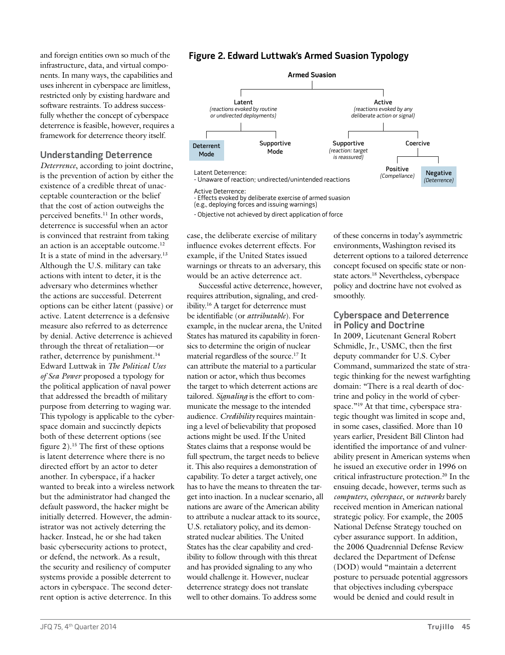and foreign entities own so much of the infrastructure, data, and virtual components. In many ways, the capabilities and uses inherent in cyberspace are limitless, restricted only by existing hardware and software restraints. To address successfully whether the concept of cyberspace deterrence is feasible, however, requires a framework for deterrence theory itself.

# **Understanding Deterrence**

*Deterrence*, according to joint doctrine, is the prevention of action by either the existence of a credible threat of unacceptable counteraction or the belief that the cost of action outweighs the perceived benefits.<sup>11</sup> In other words, deterrence is successful when an actor is convinced that restraint from taking an action is an acceptable outcome.12 It is a state of mind in the adversary.<sup>13</sup> Although the U.S. military can take actions with intent to deter, it is the adversary who determines whether the actions are successful. Deterrent options can be either latent (passive) or active. Latent deterrence is a defensive measure also referred to as deterrence by denial. Active deterrence is achieved through the threat of retaliation—or rather, deterrence by punishment.<sup>14</sup> Edward Luttwak in *The Political Uses of Sea Power* proposed a typology for the political application of naval power that addressed the breadth of military purpose from deterring to waging war. This typology is applicable to the cyberspace domain and succinctly depicts both of these deterrent options (see figure 2).15 The first of these options is latent deterrence where there is no directed effort by an actor to deter another. In cyberspace, if a hacker wanted to break into a wireless network but the administrator had changed the default password, the hacker might be initially deterred. However, the administrator was not actively deterring the hacker. Instead, he or she had taken basic cybersecurity actions to protect, or defend, the network. As a result, the security and resiliency of computer systems provide a possible deterrent to actors in cyberspace. The second deterrent option is active deterrence. In this

# **Figure 2. Edward Luttwak's Armed Suasion Typology**



case, the deliberate exercise of military influence evokes deterrent effects. For example, if the United States issued warnings or threats to an adversary, this would be an active deterrence act.

Successful active deterrence, however, requires attribution, signaling, and credibility.16 A target for deterrence must be identifiable (or *attributable*). For example, in the nuclear arena, the United States has matured its capability in forensics to determine the origin of nuclear material regardless of the source.17 It can attribute the material to a particular nation or actor, which thus becomes the target to which deterrent actions are tailored. *Signaling* is the effort to communicate the message to the intended audience. *Credibility* requires maintaining a level of believability that proposed actions might be used. If the United States claims that a response would be full spectrum, the target needs to believe it. This also requires a demonstration of capability. To deter a target actively, one has to have the means to threaten the target into inaction. In a nuclear scenario, all nations are aware of the American ability to attribute a nuclear attack to its source, U.S. retaliatory policy, and its demonstrated nuclear abilities. The United States has the clear capability and credibility to follow through with this threat and has provided signaling to any who would challenge it. However, nuclear deterrence strategy does not translate well to other domains. To address some

of these concerns in today's asymmetric environments, Washington revised its deterrent options to a tailored deterrence concept focused on specific state or nonstate actors.18 Nevertheless, cyberspace policy and doctrine have not evolved as smoothly.

## **Cyberspace and Deterrence in Policy and Doctrine**

In 2009, Lieutenant General Robert Schmidle, Jr., USMC, then the first deputy commander for U.S. Cyber Command, summarized the state of strategic thinking for the newest warfighting domain: "There is a real dearth of doctrine and policy in the world of cyberspace."<sup>19</sup> At that time, cyberspace strategic thought was limited in scope and, in some cases, classified. More than 10 years earlier, President Bill Clinton had identified the importance of and vulnerability present in American systems when he issued an executive order in 1996 on critical infrastructure protection.20 In the ensuing decade, however, terms such as *computers*, *cyberspace*, or *networks* barely received mention in American national strategic policy. For example, the 2005 National Defense Strategy touched on cyber assurance support. In addition, the 2006 Quadrennial Defense Review declared the Department of Defense (DOD) would "maintain a deterrent posture to persuade potential aggressors that objectives including cyberspace would be denied and could result in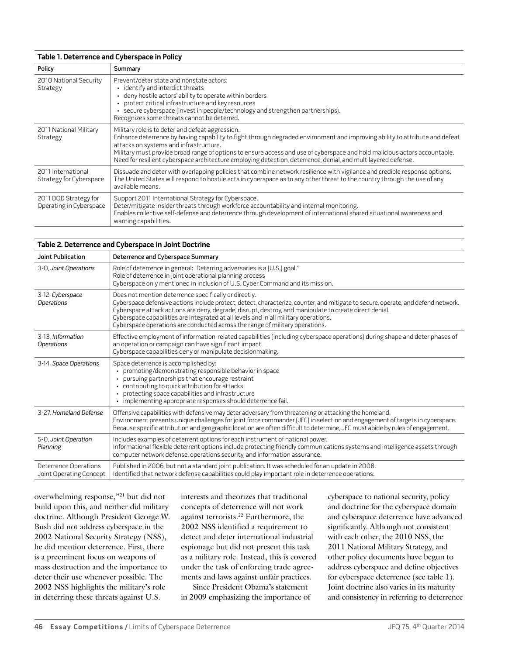#### **Table 1. Deterrence and Cyberspace in Policy**

| Policy                                           | Summary                                                                                                                                                                                                                                                                                                                                                                                                                                                                  |
|--------------------------------------------------|--------------------------------------------------------------------------------------------------------------------------------------------------------------------------------------------------------------------------------------------------------------------------------------------------------------------------------------------------------------------------------------------------------------------------------------------------------------------------|
| 2010 National Security<br>Strategy               | Prevent/deter state and nonstate actors:<br>identify and interdict threats<br>deny hostile actors' ability to operate within borders<br>protect critical infrastructure and key resources<br>secure cyberspace (invest in people/technology and strengthen partnerships).<br>Recognizes some threats cannot be deterred.                                                                                                                                                 |
| 2011 National Military<br>Strategy               | Military role is to deter and defeat aggression.<br>Enhance deterrence by having capability to fight through degraded environment and improving ability to attribute and defeat<br>attacks on systems and infrastructure.<br>Military must provide broad range of options to ensure access and use of cyberspace and hold malicious actors accountable.<br>Need for resilient cyberspace architecture employing detection, deterrence, denial, and multilayered defense. |
| 2011 International<br>Strategy for Cyberspace    | Dissuade and deter with overlapping policies that combine network resilience with vigilance and credible response options.<br>The United States will respond to hostile acts in cyberspace as to any other threat to the country through the use of any<br>available means.                                                                                                                                                                                              |
| 2011 DOD Strategy for<br>Operating in Cyberspace | Support 2011 International Strategy for Cyberspace.<br>Deter/mitigate insider threats through workforce accountability and internal monitoring.<br>Enables collective self-defense and deterrence through development of international shared situational awareness and<br>warning capabilities.                                                                                                                                                                         |

#### **Table 2. Deterrence and Cyberspace in Joint Doctrine**

| Joint Publication                                | Deterrence and Cyberspace Summary                                                                                                                                                                                                                                                                                                                                                                                                                                            |
|--------------------------------------------------|------------------------------------------------------------------------------------------------------------------------------------------------------------------------------------------------------------------------------------------------------------------------------------------------------------------------------------------------------------------------------------------------------------------------------------------------------------------------------|
| 3-0, Joint Operations                            | Role of deterrence in general: "Deterring adversaries is a [U.S.] goal."<br>Role of deterrence in joint operational planning process<br>Cyberspace only mentioned in inclusion of U.S. Cyber Command and its mission.                                                                                                                                                                                                                                                        |
| 3-12, Cyberspace<br>Operations                   | Does not mention deterrence specifically or directly.<br>Cyberspace defensive actions include protect, detect, characterize, counter, and mitigate to secure, operate, and defend network.<br>Cyberspace attack actions are deny, degrade, disrupt, destroy, and manipulate to create direct denial.<br>Cyberspace capabilities are integrated at all levels and in all military operations.<br>Cyberspace operations are conducted across the range of military operations. |
| 3-13. Information<br><b>Operations</b>           | Effective employment of information-related capabilities (including cyberspace operations) during shape and deter phases of<br>an operation or campaign can have significant impact.<br>Cyberspace capabilities deny or manipulate decisionmaking.                                                                                                                                                                                                                           |
| 3-14, Space Operations                           | Space deterrence is accomplished by:<br>promoting/demonstrating responsible behavior in space<br>pursuing partnerships that encourage restraint<br>contributing to quick attribution for attacks<br>protecting space capabilities and infrastructure<br>· implementing appropriate responses should deterrence fail.                                                                                                                                                         |
| 3-27, Homeland Defense                           | Offensive capabilities with defensive may deter adversary from threatening or attacking the homeland.<br>Environment presents unique challenges for joint force commander (JFC) in selection and engagement of targets in cyberspace.<br>Because specific attribution and geographic location are often difficult to determine, JFC must abide by rules of engagement.                                                                                                       |
| 5-0, Joint Operation<br>Planning                 | Includes examples of deterrent options for each instrument of national power.<br>Informational flexible deterrent options include protecting friendly communications systems and intelligence assets through<br>computer network defense, operations security, and information assurance.                                                                                                                                                                                    |
| Deterrence Operations<br>Joint Operating Concept | Published in 2006, but not a standard joint publication. It was scheduled for an update in 2008.<br>Identified that network defense capabilities could play important role in deterrence operations.                                                                                                                                                                                                                                                                         |

overwhelming response,"21 but did not build upon this, and neither did military doctrine. Although President George W. Bush did not address cyberspace in the 2002 National Security Strategy (NSS), he did mention deterrence. First, there is a preeminent focus on weapons of mass destruction and the importance to deter their use whenever possible. The 2002 NSS highlights the military's role in deterring these threats against U.S.

interests and theorizes that traditional concepts of deterrence will not work against terrorists.22 Furthermore, the 2002 NSS identified a requirement to detect and deter international industrial espionage but did not present this task as a military role. Instead, this is covered under the task of enforcing trade agreements and laws against unfair practices.

Since President Obama's statement in 2009 emphasizing the importance of cyberspace to national security, policy and doctrine for the cyberspace domain and cyberspace deterrence have advanced significantly. Although not consistent with each other, the 2010 NSS, the 2011 National Military Strategy, and other policy documents have begun to address cyberspace and define objectives for cyberspace deterrence (see table 1). Joint doctrine also varies in its maturity and consistency in referring to deterrence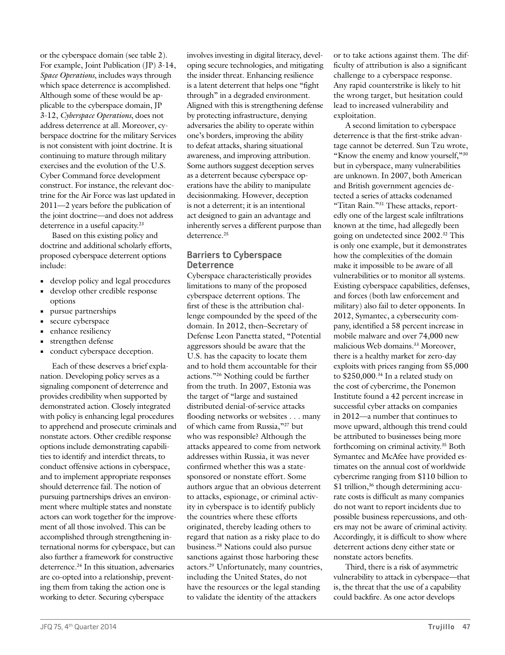or the cyberspace domain (see table 2). For example, Joint Publication (JP) 3-14, *Space Operations*, includes ways through which space deterrence is accomplished. Although some of these would be applicable to the cyberspace domain, JP 3-12, *Cyberspace Operations*, does not address deterrence at all. Moreover, cyberspace doctrine for the military Services is not consistent with joint doctrine. It is continuing to mature through military exercises and the evolution of the U.S. Cyber Command force development construct. For instance, the relevant doctrine for the Air Force was last updated in 2011—2 years before the publication of the joint doctrine—and does not address deterrence in a useful capacity.<sup>23</sup>

Based on this existing policy and doctrine and additional scholarly efforts, proposed cyberspace deterrent options include:

- **•** develop policy and legal procedures
- **•** develop other credible response options
- **•** pursue partnerships
- **•** secure cyberspace
- **•** enhance resiliency
- **•** strengthen defense
- conduct cyberspace deception.

Each of these deserves a brief explanation. Developing policy serves as a signaling component of deterrence and provides credibility when supported by demonstrated action. Closely integrated with policy is enhancing legal procedures to apprehend and prosecute criminals and nonstate actors. Other credible response options include demonstrating capabilities to identify and interdict threats, to conduct offensive actions in cyberspace, and to implement appropriate responses should deterrence fail. The notion of pursuing partnerships drives an environment where multiple states and nonstate actors can work together for the improvement of all those involved. This can be accomplished through strengthening international norms for cyberspace, but can also further a framework for constructive deterrence.<sup>24</sup> In this situation, adversaries are co-opted into a relationship, preventing them from taking the action one is working to deter. Securing cyberspace

involves investing in digital literacy, developing secure technologies, and mitigating the insider threat. Enhancing resilience is a latent deterrent that helps one "fight through" in a degraded environment. Aligned with this is strengthening defense by protecting infrastructure, denying adversaries the ability to operate within one's borders, improving the ability to defeat attacks, sharing situational awareness, and improving attribution. Some authors suggest deception serves as a deterrent because cyberspace operations have the ability to manipulate decisionmaking. However, deception is not a deterrent; it is an intentional act designed to gain an advantage and inherently serves a different purpose than deterrence.<sup>25</sup>

## **Barriers to Cyberspace Deterrence**

Cyberspace characteristically provides limitations to many of the proposed cyberspace deterrent options. The first of these is the attribution challenge compounded by the speed of the domain. In 2012, then–Secretary of Defense Leon Panetta stated, "Potential aggressors should be aware that the U.S. has the capacity to locate them and to hold them accountable for their actions."26 Nothing could be further from the truth. In 2007, Estonia was the target of "large and sustained distributed denial-of-service attacks flooding networks or websites . . . many of which came from Russia,"27 but who was responsible? Although the attacks appeared to come from network addresses within Russia, it was never confirmed whether this was a statesponsored or nonstate effort. Some authors argue that an obvious deterrent to attacks, espionage, or criminal activity in cyberspace is to identify publicly the countries where these efforts originated, thereby leading others to regard that nation as a risky place to do business.28 Nations could also pursue sanctions against those harboring these actors.29 Unfortunately, many countries, including the United States, do not have the resources or the legal standing to validate the identity of the attackers

or to take actions against them. The difficulty of attribution is also a significant challenge to a cyberspace response. Any rapid counterstrike is likely to hit the wrong target, but hesitation could lead to increased vulnerability and exploitation.

A second limitation to cyberspace deterrence is that the first-strike advantage cannot be deterred. Sun Tzu wrote, "Know the enemy and know yourself,"30 but in cyberspace, many vulnerabilities are unknown. In 2007, both American and British government agencies detected a series of attacks codenamed "Titan Rain."31 These attacks, reportedly one of the largest scale infiltrations known at the time, had allegedly been going on undetected since 2002.32 This is only one example, but it demonstrates how the complexities of the domain make it impossible to be aware of all vulnerabilities or to monitor all systems. Existing cyberspace capabilities, defenses, and forces (both law enforcement and military) also fail to deter opponents. In 2012, Symantec, a cybersecurity company, identified a 58 percent increase in mobile malware and over 74,000 new malicious Web domains.<sup>33</sup> Moreover, there is a healthy market for zero-day exploits with prices ranging from \$5,000 to \$250,000.<sup>34</sup> In a related study on the cost of cybercrime, the Ponemon Institute found a 42 percent increase in successful cyber attacks on companies in 2012—a number that continues to move upward, although this trend could be attributed to businesses being more forthcoming on criminal activity.35 Both Symantec and McAfee have provided estimates on the annual cost of worldwide cybercrime ranging from \$110 billion to \$1 trillion,<sup>36</sup> though determining accurate costs is difficult as many companies do not want to report incidents due to possible business repercussions, and others may not be aware of criminal activity. Accordingly, it is difficult to show where deterrent actions deny either state or nonstate actors benefits.

Third, there is a risk of asymmetric vulnerability to attack in cyberspace—that is, the threat that the use of a capability could backfire. As one actor develops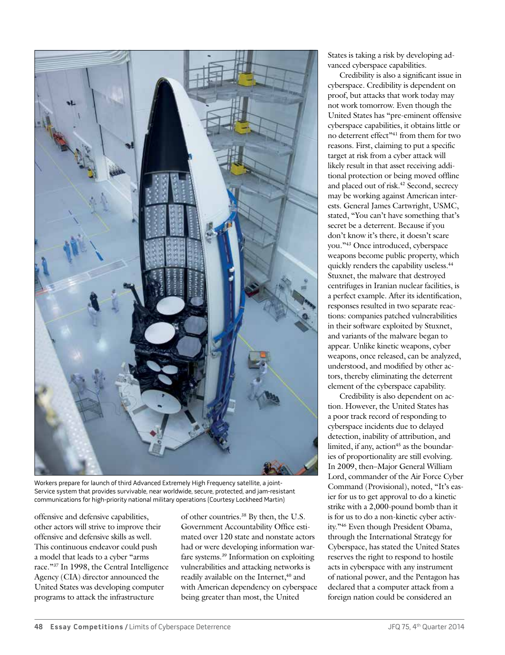

Workers prepare for launch of third Advanced Extremely High Frequency satellite, a joint-Service system that provides survivable, near worldwide, secure, protected, and jam-resistant communications for high-priority national military operations (Courtesy Lockheed Martin)

offensive and defensive capabilities, other actors will strive to improve their offensive and defensive skills as well. This continuous endeavor could push a model that leads to a cyber "arms race."37 In 1998, the Central Intelligence Agency (CIA) director announced the United States was developing computer programs to attack the infrastructure

of other countries.38 By then, the U.S. Government Accountability Office estimated over 120 state and nonstate actors had or were developing information warfare systems.<sup>39</sup> Information on exploiting vulnerabilities and attacking networks is readily available on the Internet,<sup>40</sup> and with American dependency on cyberspace being greater than most, the United

States is taking a risk by developing advanced cyberspace capabilities.

Credibility is also a significant issue in cyberspace. Credibility is dependent on proof, but attacks that work today may not work tomorrow. Even though the United States has "pre-eminent offensive cyberspace capabilities, it obtains little or no deterrent effect"41 from them for two reasons. First, claiming to put a specific target at risk from a cyber attack will likely result in that asset receiving additional protection or being moved offline and placed out of risk.42 Second, secrecy may be working against American interests. General James Cartwright, USMC, stated, "You can't have something that's secret be a deterrent. Because if you don't know it's there, it doesn't scare you."43 Once introduced, cyberspace weapons become public property, which quickly renders the capability useless.44 Stuxnet, the malware that destroyed centrifuges in Iranian nuclear facilities, is a perfect example. After its identification, responses resulted in two separate reactions: companies patched vulnerabilities in their software exploited by Stuxnet, and variants of the malware began to appear. Unlike kinetic weapons, cyber weapons, once released, can be analyzed, understood, and modified by other actors, thereby eliminating the deterrent element of the cyberspace capability.

Credibility is also dependent on action. However, the United States has a poor track record of responding to cyberspace incidents due to delayed detection, inability of attribution, and limited, if any, action<sup>45</sup> as the boundaries of proportionality are still evolving. In 2009, then–Major General William Lord, commander of the Air Force Cyber Command (Provisional), noted, "It's easier for us to get approval to do a kinetic strike with a 2,000-pound bomb than it is for us to do a non-kinetic cyber activity."46 Even though President Obama, through the International Strategy for Cyberspace, has stated the United States reserves the right to respond to hostile acts in cyberspace with any instrument of national power, and the Pentagon has declared that a computer attack from a foreign nation could be considered an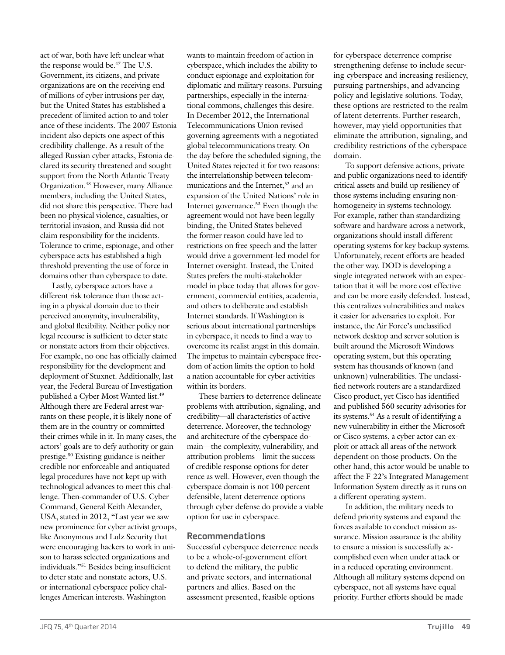act of war, both have left unclear what the response would be.47 The U.S. Government, its citizens, and private organizations are on the receiving end of millions of cyber intrusions per day, but the United States has established a precedent of limited action to and tolerance of these incidents. The 2007 Estonia incident also depicts one aspect of this credibility challenge. As a result of the alleged Russian cyber attacks, Estonia declared its security threatened and sought support from the North Atlantic Treaty Organization.48 However, many Alliance members, including the United States, did not share this perspective. There had been no physical violence, casualties, or territorial invasion, and Russia did not claim responsibility for the incidents. Tolerance to crime, espionage, and other cyberspace acts has established a high threshold preventing the use of force in domains other than cyberspace to date.

Lastly, cyberspace actors have a different risk tolerance than those acting in a physical domain due to their perceived anonymity, invulnerability, and global flexibility. Neither policy nor legal recourse is sufficient to deter state or nonstate actors from their objectives. For example, no one has officially claimed responsibility for the development and deployment of Stuxnet. Additionally, last year, the Federal Bureau of Investigation published a Cyber Most Wanted list.49 Although there are Federal arrest warrants on these people, it is likely none of them are in the country or committed their crimes while in it. In many cases, the actors' goals are to defy authority or gain prestige.50 Existing guidance is neither credible nor enforceable and antiquated legal procedures have not kept up with technological advances to meet this challenge. Then-commander of U.S. Cyber Command, General Keith Alexander, USA, stated in 2012, "Last year we saw new prominence for cyber activist groups, like Anonymous and Lulz Security that were encouraging hackers to work in unison to harass selected organizations and individuals."51 Besides being insufficient to deter state and nonstate actors, U.S. or international cyberspace policy challenges American interests. Washington

the day before the scheduled signing, the United States rejected it for two reasons: the interrelationship between telecommunications and the Internet,<sup>52</sup> and an expansion of the United Nations' role in Internet governance.53 Even though the agreement would not have been legally binding, the United States believed the former reason could have led to restrictions on free speech and the latter would drive a government-led model for Internet oversight. Instead, the United States prefers the multi-stakeholder model in place today that allows for government, commercial entities, academia, and others to deliberate and establish Internet standards. If Washington is serious about international partnerships in cyberspace, it needs to find a way to overcome its realist angst in this domain. The impetus to maintain cyberspace freedom of action limits the option to hold a nation accountable for cyber activities within its borders. These barriers to deterrence delineate problems with attribution, signaling, and credibility—all characteristics of active deterrence. Moreover, the technology and architecture of the cyberspace domain—the complexity, vulnerability, and attribution problems—limit the success of credible response options for deterrence as well. However, even though the cyberspace domain is not 100 percent defensible, latent deterrence options through cyber defense do provide a viable

wants to maintain freedom of action in cyberspace, which includes the ability to conduct espionage and exploitation for diplomatic and military reasons. Pursuing partnerships, especially in the international commons, challenges this desire. In December 2012, the International Telecommunications Union revised governing agreements with a negotiated global telecommunications treaty. On

## **Recommendations**

option for use in cyberspace.

Successful cyberspace deterrence needs to be a whole-of-government effort to defend the military, the public and private sectors, and international partners and allies. Based on the assessment presented, feasible options

for cyberspace deterrence comprise strengthening defense to include securing cyberspace and increasing resiliency, pursuing partnerships, and advancing policy and legislative solutions. Today, these options are restricted to the realm of latent deterrents. Further research, however, may yield opportunities that eliminate the attribution, signaling, and credibility restrictions of the cyberspace domain.

To support defensive actions, private and public organizations need to identify critical assets and build up resiliency of those systems including ensuring nonhomogeneity in systems technology. For example, rather than standardizing software and hardware across a network, organizations should install different operating systems for key backup systems. Unfortunately, recent efforts are headed the other way. DOD is developing a single integrated network with an expectation that it will be more cost effective and can be more easily defended. Instead, this centralizes vulnerabilities and makes it easier for adversaries to exploit. For instance, the Air Force's unclassified network desktop and server solution is built around the Microsoft Windows operating system, but this operating system has thousands of known (and unknown) vulnerabilities. The unclassified network routers are a standardized Cisco product, yet Cisco has identified and published 560 security advisories for its systems.54 As a result of identifying a new vulnerability in either the Microsoft or Cisco systems, a cyber actor can exploit or attack all areas of the network dependent on those products. On the other hand, this actor would be unable to affect the F-22's Integrated Management Information System directly as it runs on a different operating system.

In addition, the military needs to defend priority systems and expand the forces available to conduct mission assurance. Mission assurance is the ability to ensure a mission is successfully accomplished even when under attack or in a reduced operating environment. Although all military systems depend on cyberspace, not all systems have equal priority. Further efforts should be made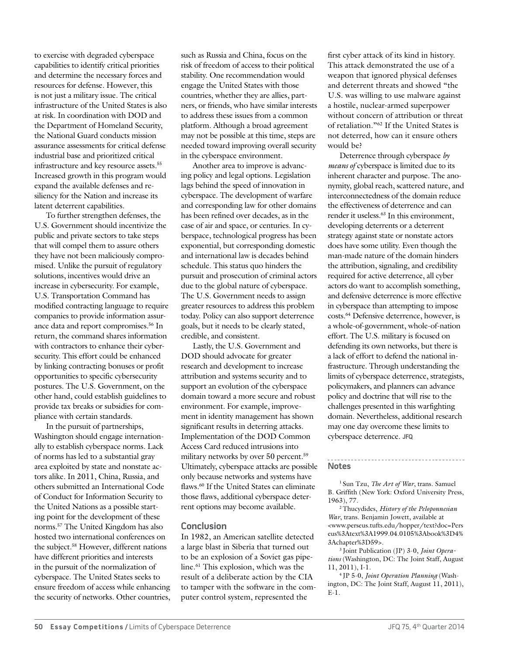to exercise with degraded cyberspace capabilities to identify critical priorities and determine the necessary forces and resources for defense. However, this is not just a military issue. The critical infrastructure of the United States is also at risk. In coordination with DOD and the Department of Homeland Security, the National Guard conducts mission assurance assessments for critical defense industrial base and prioritized critical infrastructure and key resource assets.<sup>55</sup> Increased growth in this program would expand the available defenses and resiliency for the Nation and increase its latent deterrent capabilities.

To further strengthen defenses, the U.S. Government should incentivize the public and private sectors to take steps that will compel them to assure others they have not been maliciously compromised. Unlike the pursuit of regulatory solutions, incentives would drive an increase in cybersecurity. For example, U.S. Transportation Command has modified contracting language to require companies to provide information assurance data and report compromises.56 In return, the command shares information with contractors to enhance their cybersecurity. This effort could be enhanced by linking contracting bonuses or profit opportunities to specific cybersecurity postures. The U.S. Government, on the other hand, could establish guidelines to provide tax breaks or subsidies for compliance with certain standards.

In the pursuit of partnerships, Washington should engage internationally to establish cyberspace norms. Lack of norms has led to a substantial gray area exploited by state and nonstate actors alike. In 2011, China, Russia, and others submitted an International Code of Conduct for Information Security to the United Nations as a possible starting point for the development of these norms.57 The United Kingdom has also hosted two international conferences on the subject.58 However, different nations have different priorities and interests in the pursuit of the normalization of cyberspace. The United States seeks to ensure freedom of access while enhancing the security of networks. Other countries,

such as Russia and China, focus on the risk of freedom of access to their political stability. One recommendation would engage the United States with those countries, whether they are allies, partners, or friends, who have similar interests to address these issues from a common platform. Although a broad agreement may not be possible at this time, steps are needed toward improving overall security in the cyberspace environment.

Another area to improve is advancing policy and legal options. Legislation lags behind the speed of innovation in cyberspace. The development of warfare and corresponding law for other domains has been refined over decades, as in the case of air and space, or centuries. In cyberspace, technological progress has been exponential, but corresponding domestic and international law is decades behind schedule. This status quo hinders the pursuit and prosecution of criminal actors due to the global nature of cyberspace. The U.S. Government needs to assign greater resources to address this problem today. Policy can also support deterrence goals, but it needs to be clearly stated, credible, and consistent.

Lastly, the U.S. Government and DOD should advocate for greater research and development to increase attribution and systems security and to support an evolution of the cyberspace domain toward a more secure and robust environment. For example, improvement in identity management has shown significant results in deterring attacks. Implementation of the DOD Common Access Card reduced intrusions into military networks by over 50 percent.59 Ultimately, cyberspace attacks are possible only because networks and systems have flaws.<sup>60</sup> If the United States can eliminate those flaws, additional cyberspace deterrent options may become available.

### **Conclusion**

In 1982, an American satellite detected a large blast in Siberia that turned out to be an explosion of a Soviet gas pipeline.61 This explosion, which was the result of a deliberate action by the CIA to tamper with the software in the computer control system, represented the

first cyber attack of its kind in history. This attack demonstrated the use of a weapon that ignored physical defenses and deterrent threats and showed "the U.S. was willing to use malware against a hostile, nuclear-armed superpower without concern of attribution or threat of retaliation."62 If the United States is not deterred, how can it ensure others would be?

Deterrence through cyberspace *by means of* cyberspace is limited due to its inherent character and purpose. The anonymity, global reach, scattered nature, and interconnectedness of the domain reduce the effectiveness of deterrence and can render it useless.<sup>63</sup> In this environment, developing deterrents or a deterrent strategy against state or nonstate actors does have some utility. Even though the man-made nature of the domain hinders the attribution, signaling, and credibility required for active deterrence, all cyber actors do want to accomplish something, and defensive deterrence is more effective in cyberspace than attempting to impose costs.64 Defensive deterrence, however, is a whole-of-government, whole-of-nation effort. The U.S. military is focused on defending its own networks, but there is a lack of effort to defend the national infrastructure. Through understanding the limits of cyberspace deterrence, strategists, policymakers, and planners can advance policy and doctrine that will rise to the challenges presented in this warfighting domain. Nevertheless, additional research may one day overcome these limits to cyberspace deterrence. **JFQ**

# **Notes**

1 Sun Tzu, *The Art of War*, trans. Samuel B. Griffith (New York: Oxford University Press, 1963), 77.

2 Thucydides, *History of the Peloponnesian War*, trans. Benjamin Jowett, available at <www.perseus.tufts.edu/hopper/text?doc=Pers eus%3Atext%3A1999.04.0105%3Abook%3D4% 3Achapter%3D59>.

3 Joint Publication (JP) 3-0, *Joint Operations* (Washington, DC: The Joint Staff, August 11, 2011), I-1.

4 JP 5-0, *Joint Operation Planning* (Washington, DC: The Joint Staff, August 11, 2011), E-1.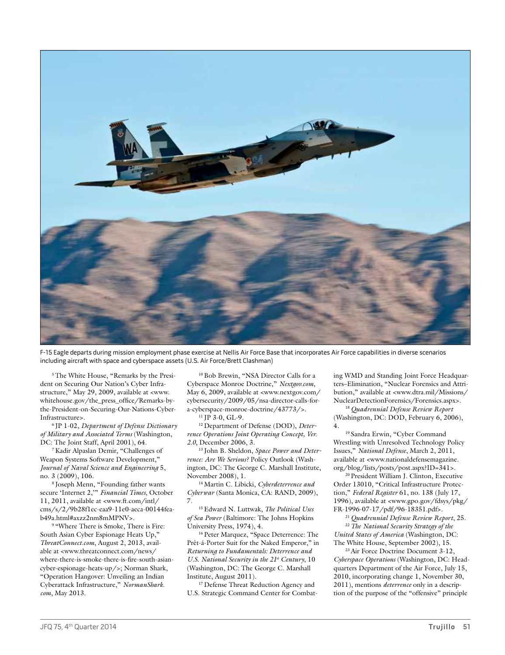

F-15 Eagle departs during mission employment phase exercise at Nellis Air Force Base that incorporates Air Force capabilities in diverse scenarios including aircraft with space and cyberspace assets (U.S. Air Force/Brett Clashman)

5 The White House, "Remarks by the President on Securing Our Nation's Cyber Infrastructure," May 29, 2009, available at <www. whitehouse.gov/the\_press\_office/Remarks-bythe-President-on-Securing-Our-Nations-Cyber-Infrastructure>.

6 JP 1-02, *Department of Defense Dictionary of Military and Associated Terms* (Washington, DC: The Joint Staff, April 2001), 64.

7 Kadir Alpaslan Demir, "Challenges of Weapon Systems Software Development," *Journal of Naval Science and Engineering* 5, no. 3 (2009), 106.

8 Joseph Menn, "Founding father wants secure 'Internet 2,'" *Financial Times*, October 11, 2011, available at <www.ft.com/intl/ cms/s/2/9b28f1ec-eaa9-11e0-aeca-00144feab49a.html#axzz2nm8mMPNV>.

<sup>9</sup> "Where There is Smoke, There is Fire: South Asian Cyber Espionage Heats Up," *ThreatConnect.com*, August 2, 2013, available at <www.threatconnect.com/news/ where-there-is-smoke-there-is-fire-south-asiancyber-espionage-heats-up/>; Norman Shark, "Operation Hangover: Unveiling an Indian Cyberattack Infrastructure," *NormanShark. com*, May 2013.

10 Bob Brewin, "NSA Director Calls for a Cyberspace Monroe Doctrine," *Nextgov.com*, May 6, 2009, available at <www.nextgov.com/ cybersecurity/2009/05/nsa-director-calls-fora-cyberspace-monroe-doctrine/43773/>.

 $11$  IP 3-0, GL-9.

12 Department of Defense (DOD), *Deterrence Operations Joint Operating Concept, Ver. 2.0*, December 2006, 3.

13 John B. Sheldon, *Space Power and Deterrence: Are We Serious?* Policy Outlook (Washington, DC: The George C. Marshall Institute, November 2008), 1.

14 Martin C. Libicki, *Cyberdeterrence and Cyberwar* (Santa Monica, CA: RAND, 2009), 7.

15 Edward N. Luttwak, *The Political Uses of Sea Power* (Baltimore: The Johns Hopkins University Press, 1974), 4.

16 Peter Marquez, "Space Deterrence: The Prêt-á-Porter Suit for the Naked Emperor," in *Returning to Fundamentals: Deterrence and U.S. National Security in the 21<sup>st</sup> Century*, 10 (Washington, DC: The George C. Marshall Institute, August 2011).

<sup>17</sup> Defense Threat Reduction Agency and U.S. Strategic Command Center for Combating WMD and Standing Joint Force Headquarters–Elimination, "Nuclear Forensics and Attribution," available at <www.dtra.mil/Missions/ NuclearDetectionForensics/Forensics.aspx>.

<sup>18</sup>*Quadrennial Defense Review Report* (Washington, DC: DOD, February 6, 2006), 4.

19 Sandra Erwin, "Cyber Command Wrestling with Unresolved Technology Policy Issues," *National Defense*, March 2, 2011, available at <www.nationaldefensemagazine. org/blog/lists/posts/post.aspx?ID=341>.

20 President William J. Clinton, Executive Order 13010, "Critical Infrastructure Protection," *Federal Register* 61, no. 138 (July 17, 1996), available at <www.gpo.gov/fdsys/pkg/ FR-1996-07-17/pdf/96-18351.pdf>.

<sup>21</sup>*Quadrennial Defense Review Report*, 25.

<sup>22</sup>*The National Security Strategy of the United States of America* (Washington, DC: The White House, September 2002), 15.

<sup>23</sup> Air Force Doctrine Document 3-12, *Cyberspace Operations* (Washington, DC: Headquarters Department of the Air Force, July 15, 2010, incorporating change 1, November 30, 2011), mentions *deterrence* only in a description of the purpose of the "offensive" principle